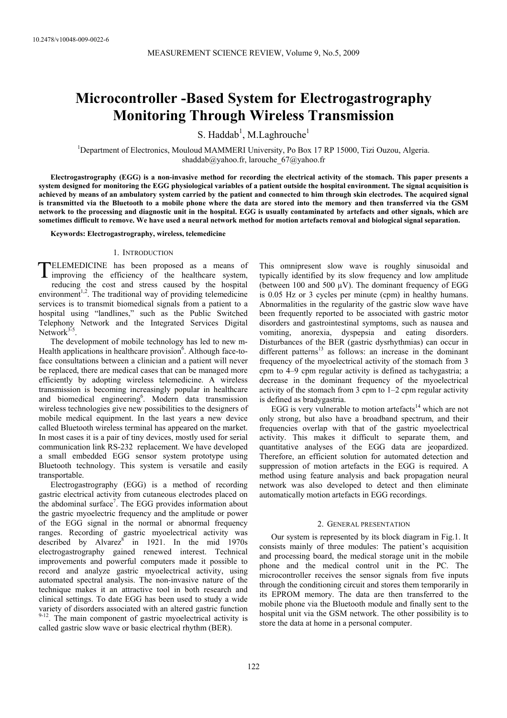# **Microcontroller -Based System for Electrogastrography Monitoring Through Wireless Transmission**

S. Haddab<sup>1</sup>, M.Laghrouche<sup>1</sup>

<sup>1</sup>Department of Electronics, Mouloud MAMMERI University, Po Box 17 RP 15000, Tizi Ouzou, Algeria. shaddab@yahoo.fr, larouche 67@yahoo.fr

**Electrogastrography (EGG) is a non-invasive method for recording the electrical activity of the stomach. This paper presents a system designed for monitoring the EGG physiological variables of a patient outside the hospital environment. The signal acquisition is achieved by means of an ambulatory system carried by the patient and connected to him through skin electrodes. The acquired signal is transmitted via the Bluetooth to a mobile phone where the data are stored into the memory and then transferred via the GSM network to the processing and diagnostic unit in the hospital. EGG is usually contaminated by artefacts and other signals, which are sometimes difficult to remove. We have used a neural network method for motion artefacts removal and biological signal separation.** 

**Keywords: Electrogastrography, wireless, telemedicine**

#### 1. INTRODUCTION

ELEMEDICINE has been proposed as a means of TELEMEDICINE has been proposed as a means of improving the efficiency of the healthcare system, reducing the cost and stress caused by the hospital environment<sup>1,2</sup>. The traditional way of providing telemedicine services is to transmit biomedical signals from a patient to a hospital using "landlines," such as the Public Switched Telephony Network and the Integrated Services Digital Network $3-5$ .

The development of mobile technology has led to new m-Health applications in healthcare provision<sup>6</sup>. Although face-toface consultations between a clinician and a patient will never be replaced, there are medical cases that can be managed more efficiently by adopting wireless telemedicine. A wireless transmission is becoming increasingly popular in healthcare and biomedical engineering<sup>6</sup>. Modern data transmission wireless technologies give new possibilities to the designers of mobile medical equipment. In the last years a new device called Bluetooth wireless terminal has appeared on the market. In most cases it is a pair of tiny devices, mostly used for serial communication link RS-232 replacement. We have developed a small embedded EGG sensor system prototype using Bluetooth technology. This system is versatile and easily transportable.

Electrogastrography (EGG) is a method of recording gastric electrical activity from cutaneous electrodes placed on the abdominal surface<sup>7</sup>. The EGG provides information about the gastric myoelectric frequency and the amplitude or power of the EGG signal in the normal or abnormal frequency ranges. Recording of gastric myoelectrical activity was described by Alvarez<sup>8</sup> in 1921. In the mid 1970s electrogastrography gained renewed interest. Technical improvements and powerful computers made it possible to record and analyze gastric myoelectrical activity, using automated spectral analysis. The non-invasive nature of the technique makes it an attractive tool in both research and clinical settings. To date EGG has been used to study a wide variety of disorders associated with an altered gastric function  $9-12$ . The main component of gastric myoelectrical activity is called gastric slow wave or basic electrical rhythm (BER).

This omnipresent slow wave is roughly sinusoidal and typically identified by its slow frequency and low amplitude (between 100 and 500  $\mu$ V). The dominant frequency of EGG is 0.05 Hz or 3 cycles per minute (cpm) in healthy humans. Abnormalities in the regularity of the gastric slow wave have been frequently reported to be associated with gastric motor disorders and gastrointestinal symptoms, such as nausea and vomiting, anorexia, dyspepsia and eating disorders. Disturbances of the BER (gastric dysrhythmias) can occur in different patterns<sup>13</sup> as follows: an increase in the dominant frequency of the myoelectrical activity of the stomach from 3 cpm to 4–9 cpm regular activity is defined as tachygastria; a decrease in the dominant frequency of the myoelectrical activity of the stomach from 3 cpm to  $1-2$  cpm regular activity is defined as bradygastria.

EGG is very vulnerable to motion artefacts<sup>14</sup> which are not only strong, but also have a broadband spectrum, and their frequencies overlap with that of the gastric myoelectrical activity. This makes it difficult to separate them, and quantitative analyses of the EGG data are jeopardized. Therefore, an efficient solution for automated detection and suppression of motion artefacts in the EGG is required. A method using feature analysis and back propagation neural network was also developed to detect and then eliminate automatically motion artefacts in EGG recordings.

#### 2. GENERAL PRESENTATION

Our system is represented by its block diagram in Fig.1. It consists mainly of three modules: The patient's acquisition and processing board, the medical storage unit in the mobile phone and the medical control unit in the PC. The microcontroller receives the sensor signals from five inputs through the conditioning circuit and stores them temporarily in its EPROM memory. The data are then transferred to the mobile phone via the Bluetooth module and finally sent to the hospital unit via the GSM network. The other possibility is to store the data at home in a personal computer.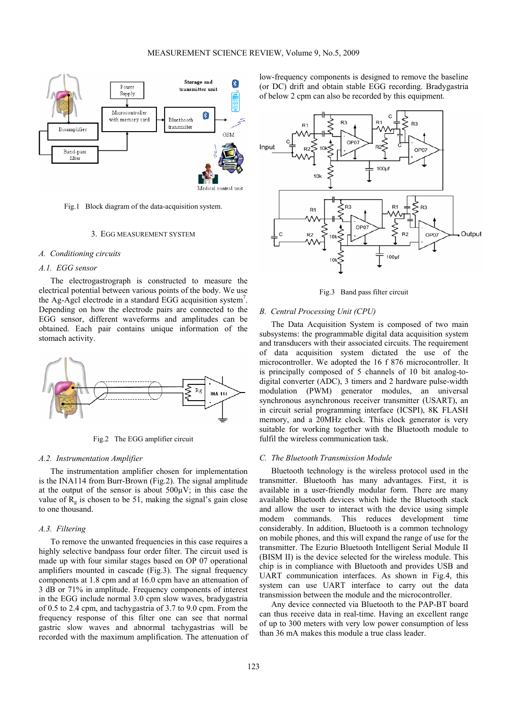

Fig.1 Block diagram of the data-acquisition system.

## 3. EGG MEASUREMENT SYSTEM

## *A. Conditioning circuits*

## *A.1. EGG sensor*

The electrogastrograph is constructed to measure the electrical potential between various points of the body. We use the Ag-Agcl electrode in a standard EGG acquisition system<sup>7</sup>. Depending on how the electrode pairs are connected to the EGG sensor, different waveforms and amplitudes can be obtained. Each pair contains unique information of the stomach activity.



Fig.2 The EGG amplifier circuit

#### *A.2. Instrumentation Amplifier*

The instrumentation amplifier chosen for implementation is the INA114 from Burr-Brown (Fig.2). The signal amplitude at the output of the sensor is about  $500 \mu V$ ; in this case the value of  $R<sub>g</sub>$  is chosen to be 51, making the signal's gain close to one thousand.

## *A.3. Filtering*

To remove the unwanted frequencies in this case requires a highly selective bandpass four order filter. The circuit used is made up with four similar stages based on OP 07 operational amplifiers mounted in cascade (Fig.3). The signal frequency components at 1.8 cpm and at 16.0 cpm have an attenuation of 3 dB or 71% in amplitude. Frequency components of interest in the EGG include normal 3.0 cpm slow waves, bradygastria of 0.5 to 2.4 cpm, and tachygastria of 3.7 to 9.0 cpm. From the frequency response of this filter one can see that normal gastric slow waves and abnormal tachygastrias will be recorded with the maximum amplification. The attenuation of low-frequency components is designed to remove the baseline (or DC) drift and obtain stable EGG recording. Bradygastria of below 2 cpm can also be recorded by this equipment.



Fig.3 Band pass filter circuit

#### *B. Central Processing Unit (CPU)*

The Data Acquisition System is composed of two main subsystems: the programmable digital data acquisition system and transducers with their associated circuits. The requirement of data acquisition system dictated the use of the microcontroller. We adopted the 16 f 876 microcontroller. It is principally composed of 5 channels of 10 bit analog-todigital converter (ADC), 3 timers and 2 hardware pulse-width modulation (PWM) generator modules, an universal synchronous asynchronous receiver transmitter (USART), an in circuit serial programming interface (ICSPI), 8K FLASH memory, and a 20MHz clock. This clock generator is very suitable for working together with the Bluetooth module to fulfil the wireless communication task.

#### *C. The Bluetooth Transmission Module*

Bluetooth technology is the wireless protocol used in the transmitter. Bluetooth has many advantages. First, it is available in a user-friendly modular form. There are many available Bluetooth devices which hide the Bluetooth stack and allow the user to interact with the device using simple modem commands. This reduces development time considerably. In addition, Bluetooth is a common technology on mobile phones, and this will expand the range of use for the transmitter. The Ezurio Bluetooth Intelligent Serial Module II (BISM II) is the device selected for the wireless module. This chip is in compliance with Bluetooth and provides USB and UART communication interfaces. As shown in Fig.4, this system can use UART interface to carry out the data transmission between the module and the microcontroller.

Any device connected via Bluetooth to the PAP-BT board can thus receive data in real-time. Having an excellent range of up to 300 meters with very low power consumption of less than 36 mA makes this module a true class leader.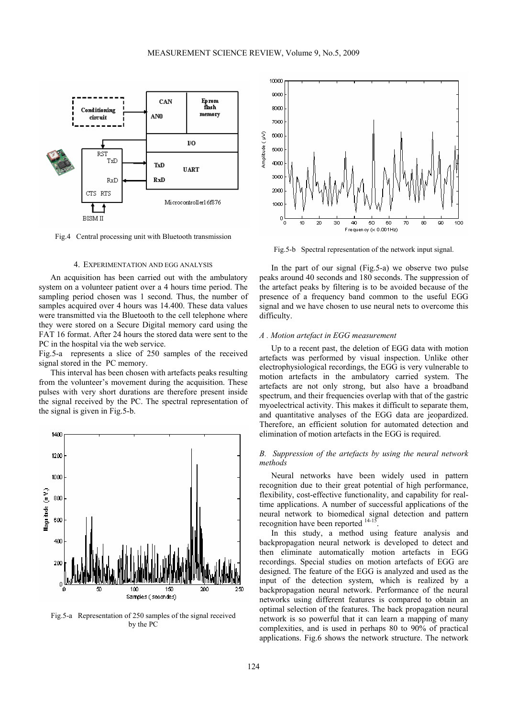

Fig.4 Central processing unit with Bluetooth transmission

#### 4. EXPERIMENTATION AND EGG ANALYSIS

An acquisition has been carried out with the ambulatory system on a volunteer patient over a 4 hours time period. The sampling period chosen was 1 second. Thus, the number of samples acquired over 4 hours was 14.400. These data values were transmitted via the Bluetooth to the cell telephone where they were stored on a Secure Digital memory card using the FAT 16 format. After 24 hours the stored data were sent to the PC in the hospital via the web service.

Fig.5-a represents a slice of 250 samples of the received signal stored in the PC memory.

This interval has been chosen with artefacts peaks resulting from the volunteer's movement during the acquisition. These pulses with very short durations are therefore present inside the signal received by the PC. The spectral representation of the signal is given in Fig.5-b.



Fig.5-a Representation of 250 samples of the signal received by the PC



Fig.5-b Spectral representation of the network input signal.

In the part of our signal (Fig.5-a) we observe two pulse peaks around 40 seconds and 180 seconds. The suppression of the artefact peaks by filtering is to be avoided because of the presence of a frequency band common to the useful EGG signal and we have chosen to use neural nets to overcome this difficulty.

#### *A . Motion artefact in EGG measurement*

Up to a recent past, the deletion of EGG data with motion artefacts was performed by visual inspection. Unlike other electrophysiological recordings, the EGG is very vulnerable to motion artefacts in the ambulatory carried system. The artefacts are not only strong, but also have a broadband spectrum, and their frequencies overlap with that of the gastric myoelectrical activity. This makes it difficult to separate them, and quantitative analyses of the EGG data are jeopardized. Therefore, an efficient solution for automated detection and elimination of motion artefacts in the EGG is required.

# *B. Suppression of the artefacts by using the neural network methods*

Neural networks have been widely used in pattern recognition due to their great potential of high performance, flexibility, cost-effective functionality, and capability for realtime applications. A number of successful applications of the neural network to biomedical signal detection and pattern recognition have been reported 14-15.

In this study, a method using feature analysis and backpropagation neural network is developed to detect and then eliminate automatically motion artefacts in EGG recordings. Special studies on motion artefacts of EGG are designed. The feature of the EGG is analyzed and used as the input of the detection system, which is realized by a backpropagation neural network. Performance of the neural networks using different features is compared to obtain an optimal selection of the features. The back propagation neural network is so powerful that it can learn a mapping of many complexities, and is used in perhaps 80 to 90% of practical applications. Fig.6 shows the network structure. The network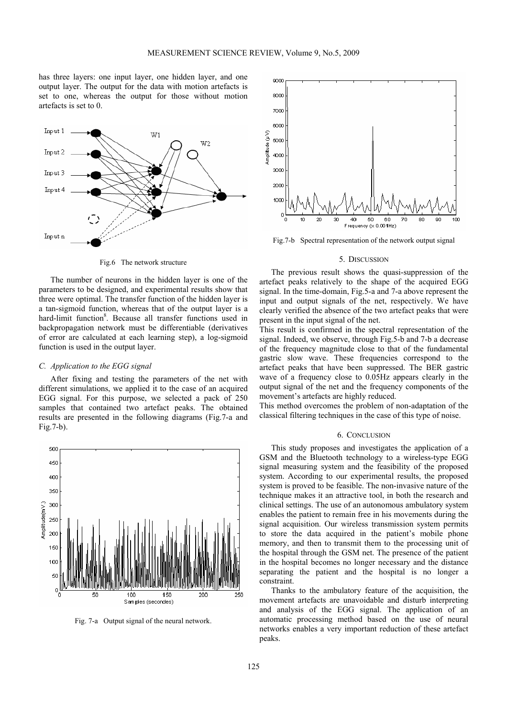has three layers: one input layer, one hidden layer, and one output layer. The output for the data with motion artefacts is set to one, whereas the output for those without motion artefacts is set to 0.



Fig.6 The network structure

The number of neurons in the hidden layer is one of the parameters to be designed, and experimental results show that three were optimal. The transfer function of the hidden layer is a tan-sigmoid function, whereas that of the output layer is a hard-limit function<sup>8</sup>. Because all transfer functions used in backpropagation network must be differentiable (derivatives of error are calculated at each learning step), a log-sigmoid function is used in the output layer.

#### *C. Application to the EGG signal*

After fixing and testing the parameters of the net with different simulations, we applied it to the case of an acquired EGG signal. For this purpose, we selected a pack of 250 samples that contained two artefact peaks. The obtained results are presented in the following diagrams (Fig.7-a and Fig.7-b).



Fig. 7-a Output signal of the neural network.



Fig.7-b Spectral representation of the network output signal

#### 5. DISCUSSION

The previous result shows the quasi-suppression of the artefact peaks relatively to the shape of the acquired EGG signal. In the time-domain, Fig.5-a and 7-a above represent the input and output signals of the net, respectively. We have clearly verified the absence of the two artefact peaks that were present in the input signal of the net.

This result is confirmed in the spectral representation of the signal. Indeed, we observe, through Fig.5-b and 7-b a decrease of the frequency magnitude close to that of the fundamental gastric slow wave. These frequencies correspond to the artefact peaks that have been suppressed. The BER gastric wave of a frequency close to 0.05Hz appears clearly in the output signal of the net and the frequency components of the movement's artefacts are highly reduced.

This method overcomes the problem of non-adaptation of the classical filtering techniques in the case of this type of noise.

#### 6. CONCLUSION

This study proposes and investigates the application of a GSM and the Bluetooth technology to a wireless-type EGG signal measuring system and the feasibility of the proposed system. According to our experimental results, the proposed system is proved to be feasible. The non-invasive nature of the technique makes it an attractive tool, in both the research and clinical settings. The use of an autonomous ambulatory system enables the patient to remain free in his movements during the signal acquisition. Our wireless transmission system permits to store the data acquired in the patient's mobile phone memory, and then to transmit them to the processing unit of the hospital through the GSM net. The presence of the patient in the hospital becomes no longer necessary and the distance separating the patient and the hospital is no longer a constraint.

Thanks to the ambulatory feature of the acquisition, the movement artefacts are unavoidable and disturb interpreting and analysis of the EGG signal. The application of an automatic processing method based on the use of neural networks enables a very important reduction of these artefact peaks.